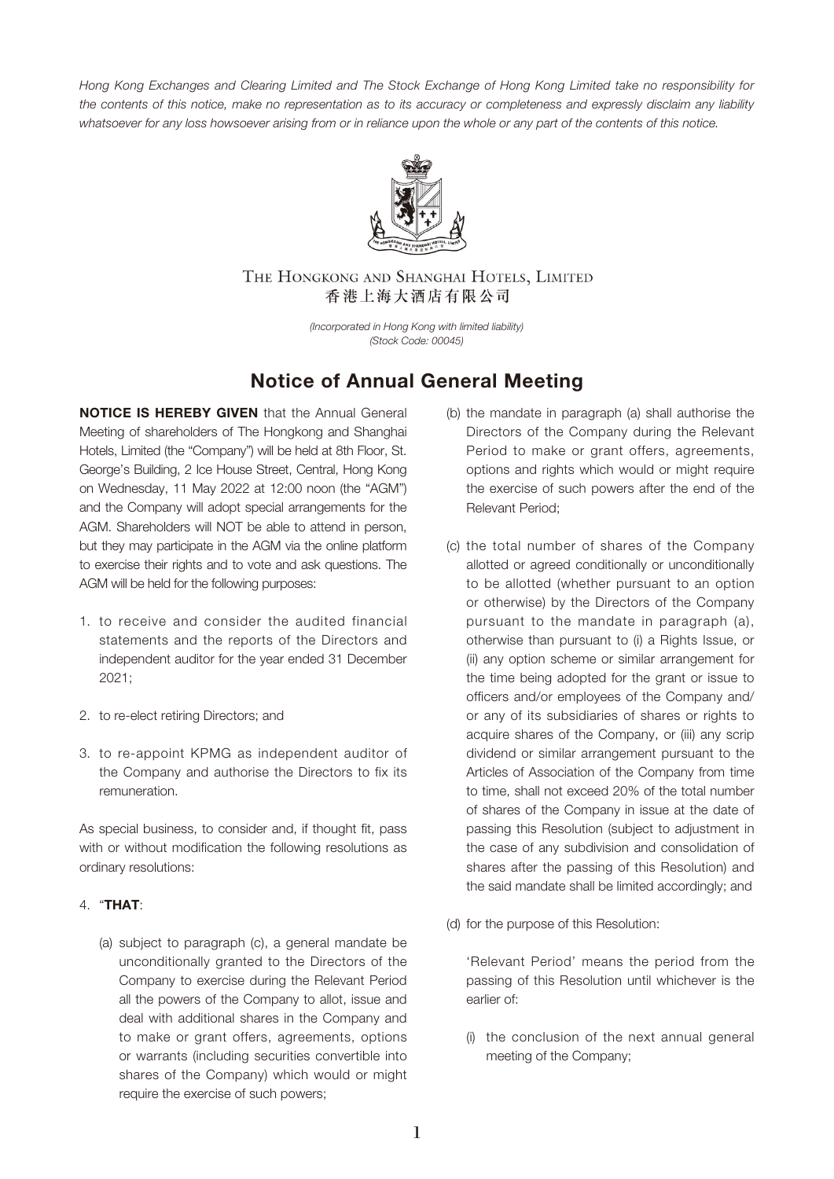Hong Kong Exchanges and Clearing Limited and The Stock Exchange of Hong Kong Limited take no responsibility for the contents of this notice, make no representation as to its accuracy or completeness and expressly disclaim any liability whatsoever for any loss howsoever arising from or in reliance upon the whole or any part of the contents of this notice.



THE HONGKONG AND SHANGHAI HOTELS, LIMITED 香港上海大酒店有限公司

> (Incorporated in Hong Kong with limited liability) (Stock Code: 00045)

# **Notice of Annual General Meeting**

**NOTICE IS HEREBY GIVEN** that the Annual General Meeting of shareholders of The Hongkong and Shanghai Hotels, Limited (the "Company") will be held at 8th Floor, St. George's Building, 2 Ice House Street, Central, Hong Kong on Wednesday, 11 May 2022 at 12:00 noon (the "AGM") and the Company will adopt special arrangements for the AGM. Shareholders will NOT be able to attend in person, but they may participate in the AGM via the online platform to exercise their rights and to vote and ask questions. The AGM will be held for the following purposes:

- 1. to receive and consider the audited financial statements and the reports of the Directors and independent auditor for the year ended 31 December 2021;
- 2. to re-elect retiring Directors; and
- 3. to re-appoint KPMG as independent auditor of the Company and authorise the Directors to fix its remuneration.

As special business, to consider and, if thought fit, pass with or without modification the following resolutions as ordinary resolutions:

# 4. "**THAT**:

(a) subject to paragraph (c), a general mandate be unconditionally granted to the Directors of the Company to exercise during the Relevant Period all the powers of the Company to allot, issue and deal with additional shares in the Company and to make or grant offers, agreements, options or warrants (including securities convertible into shares of the Company) which would or might require the exercise of such powers;

- (b) the mandate in paragraph (a) shall authorise the Directors of the Company during the Relevant Period to make or grant offers, agreements, options and rights which would or might require the exercise of such powers after the end of the Relevant Period;
- (c) the total number of shares of the Company allotted or agreed conditionally or unconditionally to be allotted (whether pursuant to an option or otherwise) by the Directors of the Company pursuant to the mandate in paragraph (a), otherwise than pursuant to (i) a Rights Issue, or (ii) any option scheme or similar arrangement for the time being adopted for the grant or issue to officers and/or employees of the Company and/ or any of its subsidiaries of shares or rights to acquire shares of the Company, or (iii) any scrip dividend or similar arrangement pursuant to the Articles of Association of the Company from time to time, shall not exceed 20% of the total number of shares of the Company in issue at the date of passing this Resolution (subject to adjustment in the case of any subdivision and consolidation of shares after the passing of this Resolution) and the said mandate shall be limited accordingly; and
- (d) for the purpose of this Resolution:

'Relevant Period' means the period from the passing of this Resolution until whichever is the earlier of:

(i) the conclusion of the next annual general meeting of the Company;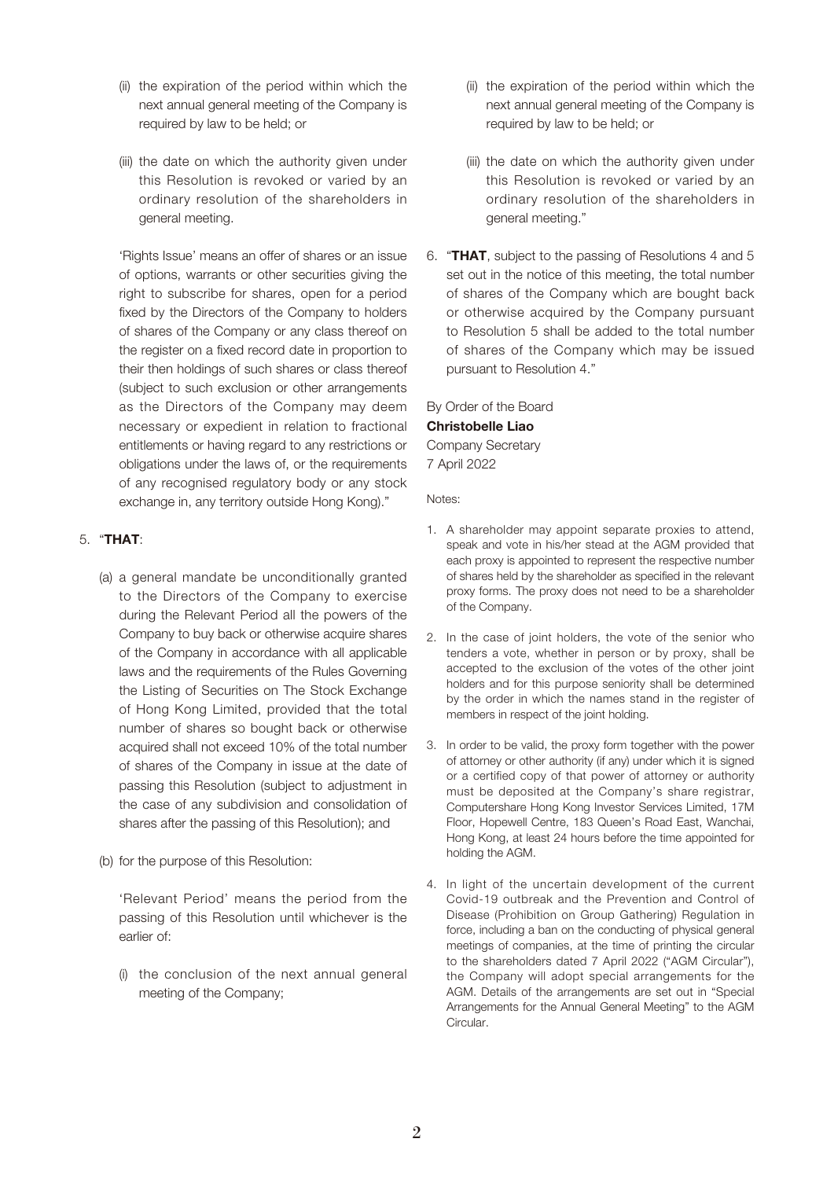- (ii) the expiration of the period within which the next annual general meeting of the Company is required by law to be held; or
- (iii) the date on which the authority given under this Resolution is revoked or varied by an ordinary resolution of the shareholders in general meeting.

'Rights Issue' means an offer of shares or an issue of options, warrants or other securities giving the right to subscribe for shares, open for a period fixed by the Directors of the Company to holders of shares of the Company or any class thereof on the register on a fixed record date in proportion to their then holdings of such shares or class thereof (subject to such exclusion or other arrangements as the Directors of the Company may deem necessary or expedient in relation to fractional entitlements or having regard to any restrictions or obligations under the laws of, or the requirements of any recognised regulatory body or any stock exchange in, any territory outside Hong Kong)."

## 5. "**THAT**:

- (a) a general mandate be unconditionally granted to the Directors of the Company to exercise during the Relevant Period all the powers of the Company to buy back or otherwise acquire shares of the Company in accordance with all applicable laws and the requirements of the Rules Governing the Listing of Securities on The Stock Exchange of Hong Kong Limited, provided that the total number of shares so bought back or otherwise acquired shall not exceed 10% of the total number of shares of the Company in issue at the date of passing this Resolution (subject to adjustment in the case of any subdivision and consolidation of shares after the passing of this Resolution); and
- (b) for the purpose of this Resolution:

'Relevant Period' means the period from the passing of this Resolution until whichever is the earlier of:

(i) the conclusion of the next annual general meeting of the Company;

- (ii) the expiration of the period within which the next annual general meeting of the Company is required by law to be held; or
- (iii) the date on which the authority given under this Resolution is revoked or varied by an ordinary resolution of the shareholders in general meeting."
- 6. "**THAT**, subject to the passing of Resolutions 4 and 5 set out in the notice of this meeting, the total number of shares of the Company which are bought back or otherwise acquired by the Company pursuant to Resolution 5 shall be added to the total number of shares of the Company which may be issued pursuant to Resolution 4."

By Order of the Board **Christobelle Liao** Company Secretary 7 April 2022

Notes:

- 1. A shareholder may appoint separate proxies to attend, speak and vote in his/her stead at the AGM provided that each proxy is appointed to represent the respective number of shares held by the shareholder as specified in the relevant proxy forms. The proxy does not need to be a shareholder of the Company.
- 2. In the case of joint holders, the vote of the senior who tenders a vote, whether in person or by proxy, shall be accepted to the exclusion of the votes of the other joint holders and for this purpose seniority shall be determined by the order in which the names stand in the register of members in respect of the joint holding.
- 3. In order to be valid, the proxy form together with the power of attorney or other authority (if any) under which it is signed or a certified copy of that power of attorney or authority must be deposited at the Company's share registrar, Computershare Hong Kong Investor Services Limited, 17M Floor, Hopewell Centre, 183 Queen's Road East, Wanchai, Hong Kong, at least 24 hours before the time appointed for holding the AGM.
- 4. In light of the uncertain development of the current Covid-19 outbreak and the Prevention and Control of Disease (Prohibition on Group Gathering) Regulation in force, including a ban on the conducting of physical general meetings of companies, at the time of printing the circular to the shareholders dated 7 April 2022 ("AGM Circular"), the Company will adopt special arrangements for the AGM. Details of the arrangements are set out in "Special Arrangements for the Annual General Meeting" to the AGM Circular.